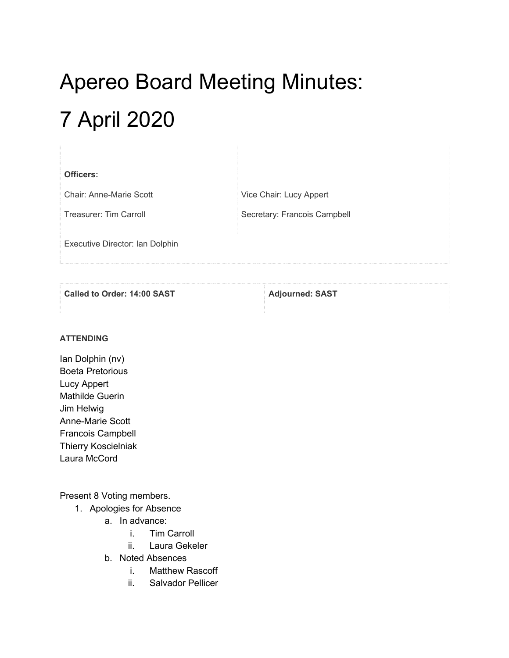# Apereo Board Meeting Minutes: 7 April 2020

| Officers:                       |                              |
|---------------------------------|------------------------------|
| <b>Chair: Anne-Marie Scott</b>  | Vice Chair: Lucy Appert      |
| Treasurer: Tim Carroll          | Secretary: Francois Campbell |
| Executive Director: Ian Dolphin |                              |

| Called to Order: 14:00 SAST | <b>Adjourned: SAST</b> |  |
|-----------------------------|------------------------|--|
|                             |                        |  |

#### **ATTENDING**

Ian Dolphin (nv) Boeta Pretorious Lucy Appert Mathilde Guerin Jim Helwig Anne-Marie Scott Francois Campbell Thierry Koscielniak Laura McCord

#### Present 8 Voting members.

- 1. Apologies for Absence
	- a. In advance:
		- i. Tim Carroll
		- ii. Laura Gekeler
	- b. Noted Absences
		- i. Matthew Rascoff
		- ii. Salvador Pellicer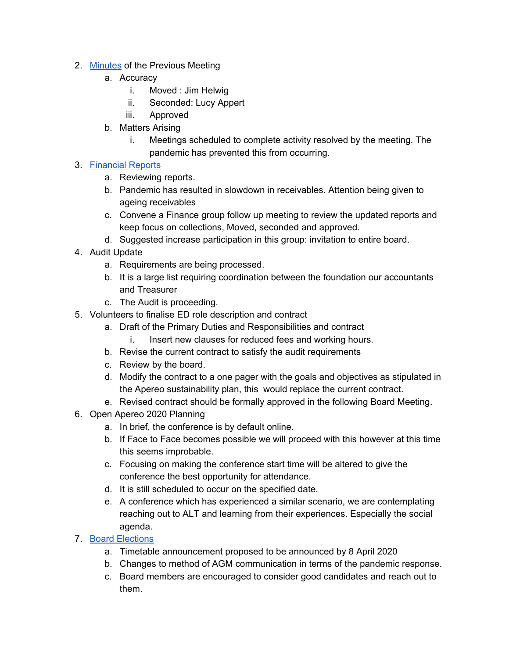- 2. [Minutes](https://docs.google.com/document/d/1ko2oUZckvGYgIHmPSpw-t7m213Ij1Qz7ysgrmm86g0w/edit#heading=h.fsketdbnmq5m) of the Previous Meeting
	- a. Accuracy
		- i. Moved : Jim Helwig
		- ii. Seconded: Lucy Appert
		- iii. Approved
	- b. Matters Arising
		- i. Meetings scheduled to complete activity resolved by the meeting. The pandemic has prevented this from occurring.

## 3. [Financial](https://drive.google.com/drive/folders/1UVlp68AOVZSRN-Le_ngtE0GoUa5ph6oM) Reports

- a. Reviewing reports.
- b. Pandemic has resulted in slowdown in receivables. Attention being given to ageing receivables
- c. Convene a Finance group follow up meeting to review the updated reports and keep focus on collections, Moved, seconded and approved.
- d. Suggested increase participation in this group: invitation to entire board.
- 4. Audit Update
	- a. Requirements are being processed.
	- b. It is a large list requiring coordination between the foundation our accountants and Treasurer
	- c. The Audit is proceeding.
- 5. Volunteers to finalise ED role description and contract
	- a. Draft of the Primary Duties and Responsibilities and contract
		- i. Insert new clauses for reduced fees and working hours.
	- b. Revise the current contract to satisfy the audit requirements
	- c. Review by the board.
	- d. Modify the contract to a one pager with the goals and objectives as stipulated in the Apereo sustainability plan, this would replace the current contract.
	- e. Revised contract should be formally approved in the following Board Meeting.
- 6. Open Apereo 2020 Planning
	- a. In brief, the conference is by default online.
	- b. If Face to Face becomes possible we will proceed with this however at this time this seems improbable.
	- c. Focusing on making the conference start time will be altered to give the conference the best opportunity for attendance.
	- d. It is still scheduled to occur on the specified date.
	- e. A conference which has experienced a similar scenario, we are contemplating reaching out to ALT and learning from their experiences. Especially the social agenda.

### 7. Board [Elections](https://docs.google.com/document/d/1LN7aTTrMTB9bAGycvXIp0HIbck4Ng5wvrR0YL5Ju7yE/edit#)

- a. Timetable announcement proposed to be announced by 8 April 2020
- b. Changes to method of AGM communication in terms of the pandemic response.
- c. Board members are encouraged to consider good candidates and reach out to them.